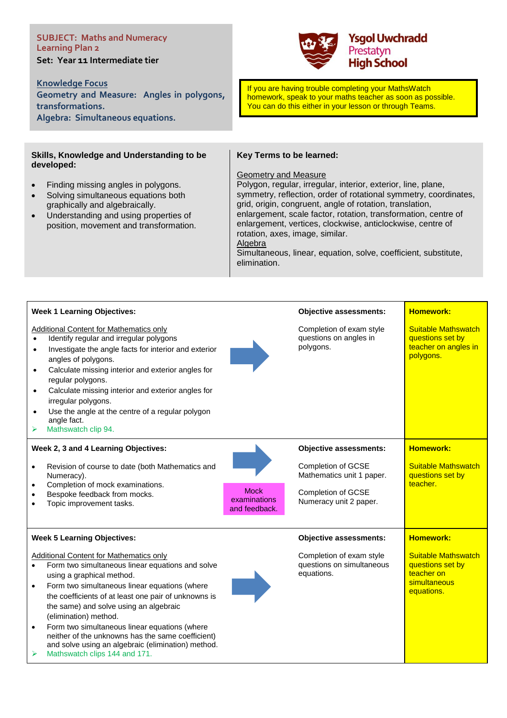# **SUBJECT: Maths and Numeracy Learning Plan 2 Set: Year 11 Intermediate tier**

**Knowledge Focus** 

**Geometry and Measure: Angles in polygons, transformations. Algebra: Simultaneous equations.**

# **Skills, Knowledge and Understanding to be developed:**

- Finding missing angles in polygons.
- Solving simultaneous equations both graphically and algebraically.
- Understanding and using properties of position, movement and transformation.



If you are having trouble completing your MathsWatch homework, speak to your maths teacher as soon as possible. You can do this either in your lesson or through Teams.

# **Key Terms to be learned:**

### Geometry and Measure

Polygon, regular, irregular, interior, exterior, line, plane, symmetry, reflection, order of rotational symmetry, coordinates, grid, origin, congruent, angle of rotation, translation, enlargement, scale factor, rotation, transformation, centre of enlargement, vertices, clockwise, anticlockwise, centre of rotation, axes, image, similar. Algebra

Simultaneous, linear, equation, solve, coefficient, substitute, elimination.

| <b>Week 1 Learning Objectives:</b>                                                                                                                                                                                                                                                                                                                                                                                                                                                                                                                                       |                                              | <b>Objective assessments:</b>                                                                                                           | <b>Homework:</b>                                                                           |
|--------------------------------------------------------------------------------------------------------------------------------------------------------------------------------------------------------------------------------------------------------------------------------------------------------------------------------------------------------------------------------------------------------------------------------------------------------------------------------------------------------------------------------------------------------------------------|----------------------------------------------|-----------------------------------------------------------------------------------------------------------------------------------------|--------------------------------------------------------------------------------------------|
| <b>Additional Content for Mathematics only</b><br>Identify regular and irregular polygons<br>$\bullet$<br>Investigate the angle facts for interior and exterior<br>$\bullet$<br>angles of polygons.<br>Calculate missing interior and exterior angles for<br>$\bullet$<br>regular polygons.<br>Calculate missing interior and exterior angles for<br>$\bullet$<br>irregular polygons.<br>Use the angle at the centre of a regular polygon<br>$\bullet$<br>angle fact.<br>Mathswatch clip 94.<br>➤                                                                        |                                              | Completion of exam style<br>questions on angles in<br>polygons.                                                                         | <b>Suitable Mathswatch</b><br>questions set by<br>teacher on angles in<br>polygons.        |
| Week 2, 3 and 4 Learning Objectives:<br>Revision of course to date (both Mathematics and<br>$\bullet$<br>Numeracy).<br>Completion of mock examinations.<br>$\bullet$<br>Bespoke feedback from mocks.<br>$\bullet$<br>Topic improvement tasks.<br>$\bullet$                                                                                                                                                                                                                                                                                                               | <b>Mock</b><br>examinations<br>and feedback. | <b>Objective assessments:</b><br><b>Completion of GCSE</b><br>Mathematics unit 1 paper.<br>Completion of GCSE<br>Numeracy unit 2 paper. | <b>Homework:</b><br><b>Suitable Mathswatch</b><br>questions set by<br>teacher.             |
| <b>Week 5 Learning Objectives:</b>                                                                                                                                                                                                                                                                                                                                                                                                                                                                                                                                       |                                              | <b>Objective assessments:</b>                                                                                                           | <b>Homework:</b>                                                                           |
| <b>Additional Content for Mathematics only</b><br>Form two simultaneous linear equations and solve<br>$\bullet$<br>using a graphical method.<br>Form two simultaneous linear equations (where<br>$\bullet$<br>the coefficients of at least one pair of unknowns is<br>the same) and solve using an algebraic<br>(elimination) method.<br>Form two simultaneous linear equations (where<br>$\bullet$<br>neither of the unknowns has the same coefficient)<br>and solve using an algebraic (elimination) method.<br>$\blacktriangleright$<br>Mathswatch clips 144 and 171. |                                              | Completion of exam style<br>questions on simultaneous<br>equations.                                                                     | <b>Suitable Mathswatch</b><br>questions set by<br>teacher on<br>simultaneous<br>equations. |